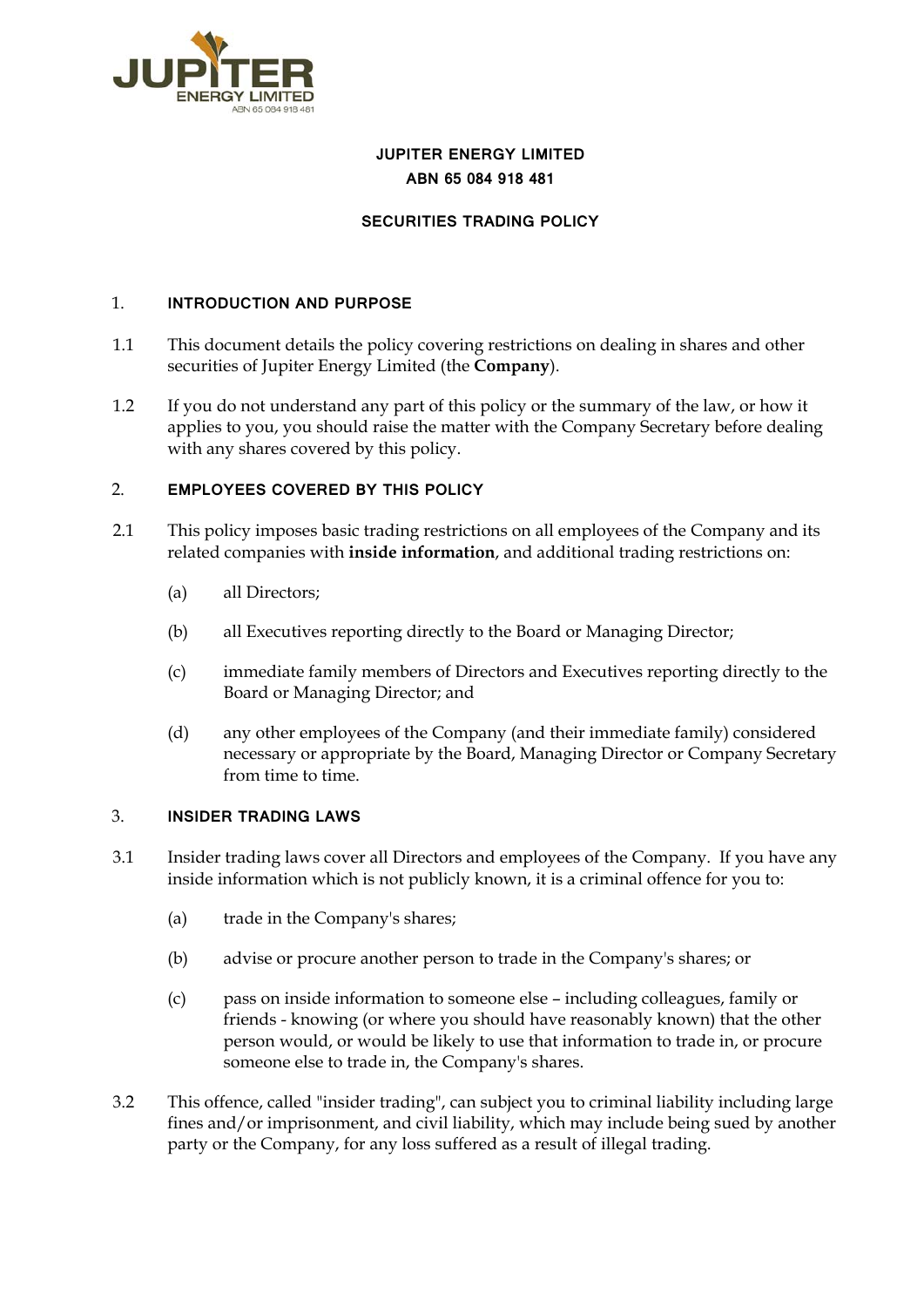

# **JUPITER ENERGY LIMITED ABN 65 084 918 481**

#### **SECURITIES TRADING POLICY**

#### 1. **INTRODUCTION AND PURPOSE**

- 1.1 This document details the policy covering restrictions on dealing in shares and other securities of Jupiter Energy Limited (the **Company**).
- 1.2 If you do not understand any part of this policy or the summary of the law, or how it applies to you, you should raise the matter with the Company Secretary before dealing with any shares covered by this policy.

#### 2. **EMPLOYEES COVERED BY THIS POLICY**

- 2.1 This policy imposes basic trading restrictions on all employees of the Company and its related companies with **inside information**, and additional trading restrictions on:
	- (a) all Directors;
	- (b) all Executives reporting directly to the Board or Managing Director;
	- (c) immediate family members of Directors and Executives reporting directly to the Board or Managing Director; and
	- (d) any other employees of the Company (and their immediate family) considered necessary or appropriate by the Board, Managing Director or Company Secretary from time to time.

#### 3. **INSIDER TRADING LAWS**

- 3.1 Insider trading laws cover all Directors and employees of the Company. If you have any inside information which is not publicly known, it is a criminal offence for you to:
	- (a) trade in the Company's shares;
	- (b) advise or procure another person to trade in the Company's shares; or
	- (c) pass on inside information to someone else including colleagues, family or friends - knowing (or where you should have reasonably known) that the other person would, or would be likely to use that information to trade in, or procure someone else to trade in, the Company's shares.
- 3.2 This offence, called "insider trading", can subject you to criminal liability including large fines and/or imprisonment, and civil liability, which may include being sued by another party or the Company, for any loss suffered as a result of illegal trading.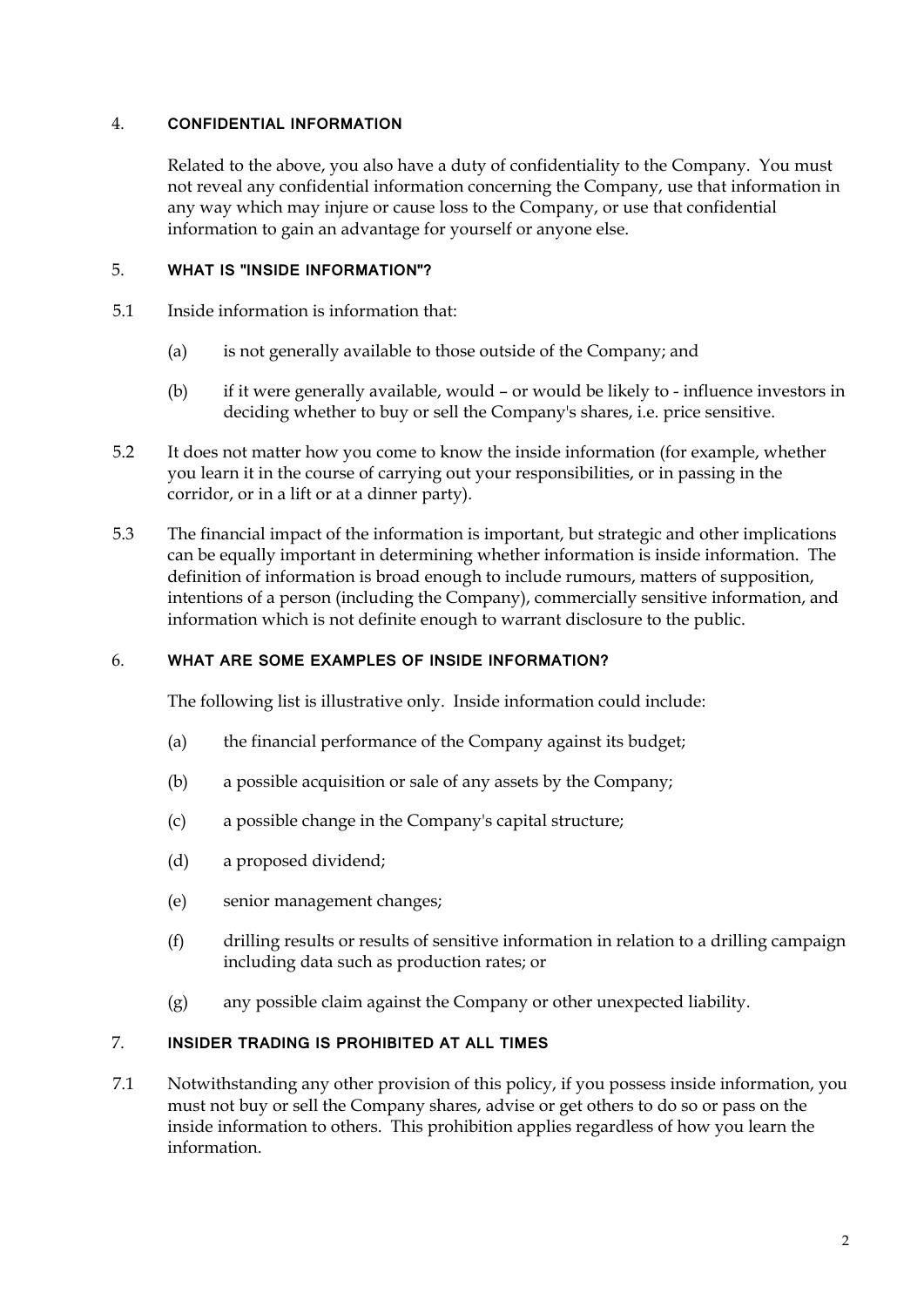#### 4. **CONFIDENTIAL INFORMATION**

Related to the above, you also have a duty of confidentiality to the Company. You must not reveal any confidential information concerning the Company, use that information in any way which may injure or cause loss to the Company, or use that confidential information to gain an advantage for yourself or anyone else.

### 5. **WHAT IS "INSIDE INFORMATION"?**

- 5.1 Inside information is information that:
	- (a) is not generally available to those outside of the Company; and
	- (b) if it were generally available, would or would be likely to influence investors in deciding whether to buy or sell the Company's shares, i.e. price sensitive.
- 5.2 It does not matter how you come to know the inside information (for example, whether you learn it in the course of carrying out your responsibilities, or in passing in the corridor, or in a lift or at a dinner party).
- 5.3 The financial impact of the information is important, but strategic and other implications can be equally important in determining whether information is inside information. The definition of information is broad enough to include rumours, matters of supposition, intentions of a person (including the Company), commercially sensitive information, and information which is not definite enough to warrant disclosure to the public.

### 6. **WHAT ARE SOME EXAMPLES OF INSIDE INFORMATION?**

The following list is illustrative only. Inside information could include:

- (a) the financial performance of the Company against its budget;
- (b) a possible acquisition or sale of any assets by the Company;
- (c) a possible change in the Company's capital structure;
- (d) a proposed dividend;
- (e) senior management changes;
- (f) drilling results or results of sensitive information in relation to a drilling campaign including data such as production rates; or
- (g) any possible claim against the Company or other unexpected liability.

#### 7. **INSIDER TRADING IS PROHIBITED AT ALL TIMES**

7.1 Notwithstanding any other provision of this policy, if you possess inside information, you must not buy or sell the Company shares, advise or get others to do so or pass on the inside information to others. This prohibition applies regardless of how you learn the information.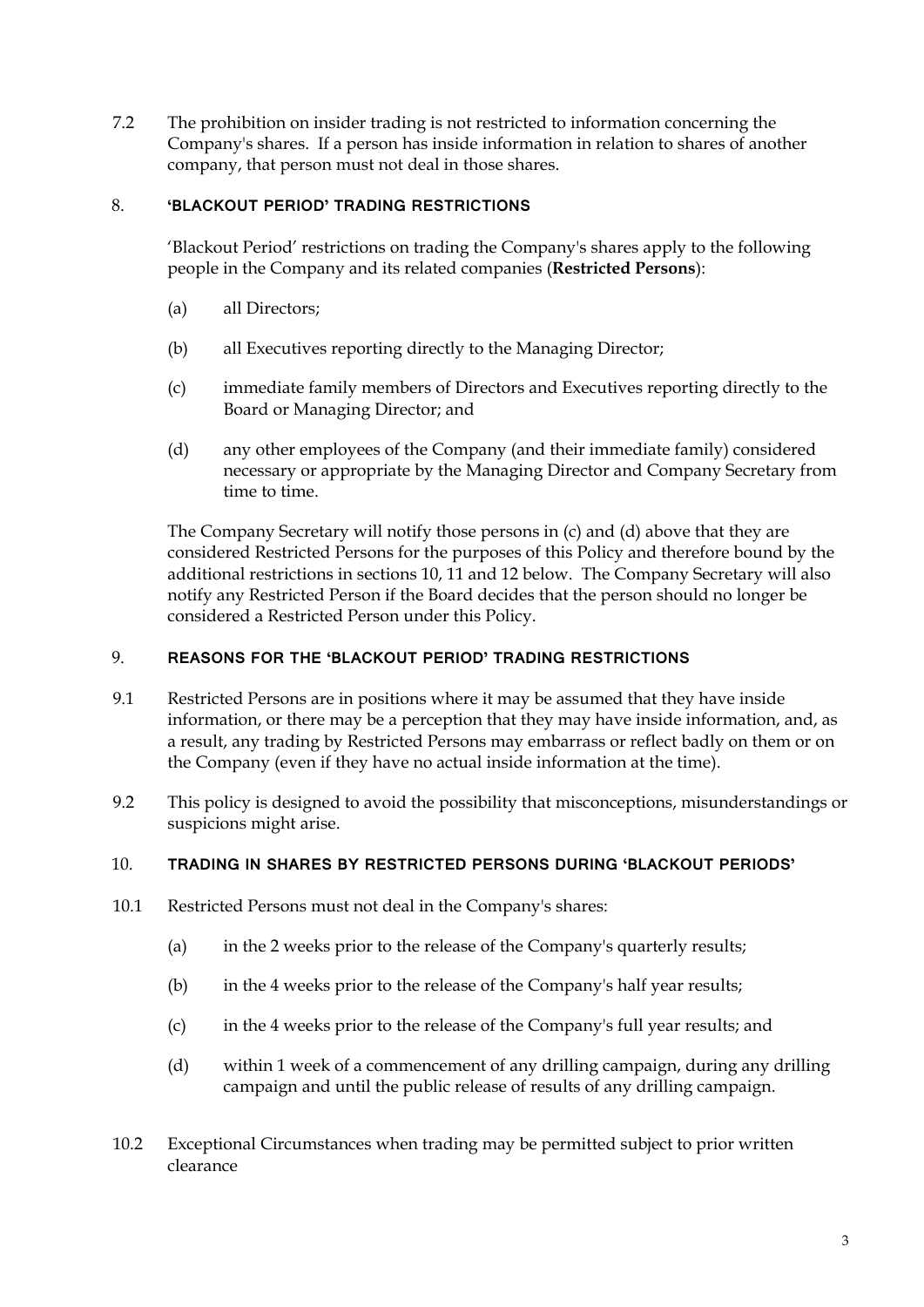7.2 The prohibition on insider trading is not restricted to information concerning the Company's shares. If a person has inside information in relation to shares of another company, that person must not deal in those shares.

### 8. **'BLACKOUT PERIOD' TRADING RESTRICTIONS**

'Blackout Period' restrictions on trading the Company's shares apply to the following people in the Company and its related companies (**Restricted Persons**):

- (a) all Directors;
- (b) all Executives reporting directly to the Managing Director;
- (c) immediate family members of Directors and Executives reporting directly to the Board or Managing Director; and
- (d) any other employees of the Company (and their immediate family) considered necessary or appropriate by the Managing Director and Company Secretary from time to time.

The Company Secretary will notify those persons in (c) and (d) above that they are considered Restricted Persons for the purposes of this Policy and therefore bound by the additional restrictions in sections 10, 11 and 12 below. The Company Secretary will also notify any Restricted Person if the Board decides that the person should no longer be considered a Restricted Person under this Policy.

#### 9. **REASONS FOR THE 'BLACKOUT PERIOD' TRADING RESTRICTIONS**

- 9.1 Restricted Persons are in positions where it may be assumed that they have inside information, or there may be a perception that they may have inside information, and, as a result, any trading by Restricted Persons may embarrass or reflect badly on them or on the Company (even if they have no actual inside information at the time).
- 9.2 This policy is designed to avoid the possibility that misconceptions, misunderstandings or suspicions might arise.

# 10. **TRADING IN SHARES BY RESTRICTED PERSONS DURING 'BLACKOUT PERIODS'**

- 10.1 Restricted Persons must not deal in the Company's shares:
	- (a) in the 2 weeks prior to the release of the Company's quarterly results;
	- (b) in the 4 weeks prior to the release of the Company's half year results;
	- (c) in the 4 weeks prior to the release of the Company's full year results; and
	- (d) within 1 week of a commencement of any drilling campaign, during any drilling campaign and until the public release of results of any drilling campaign.
- 10.2 Exceptional Circumstances when trading may be permitted subject to prior written clearance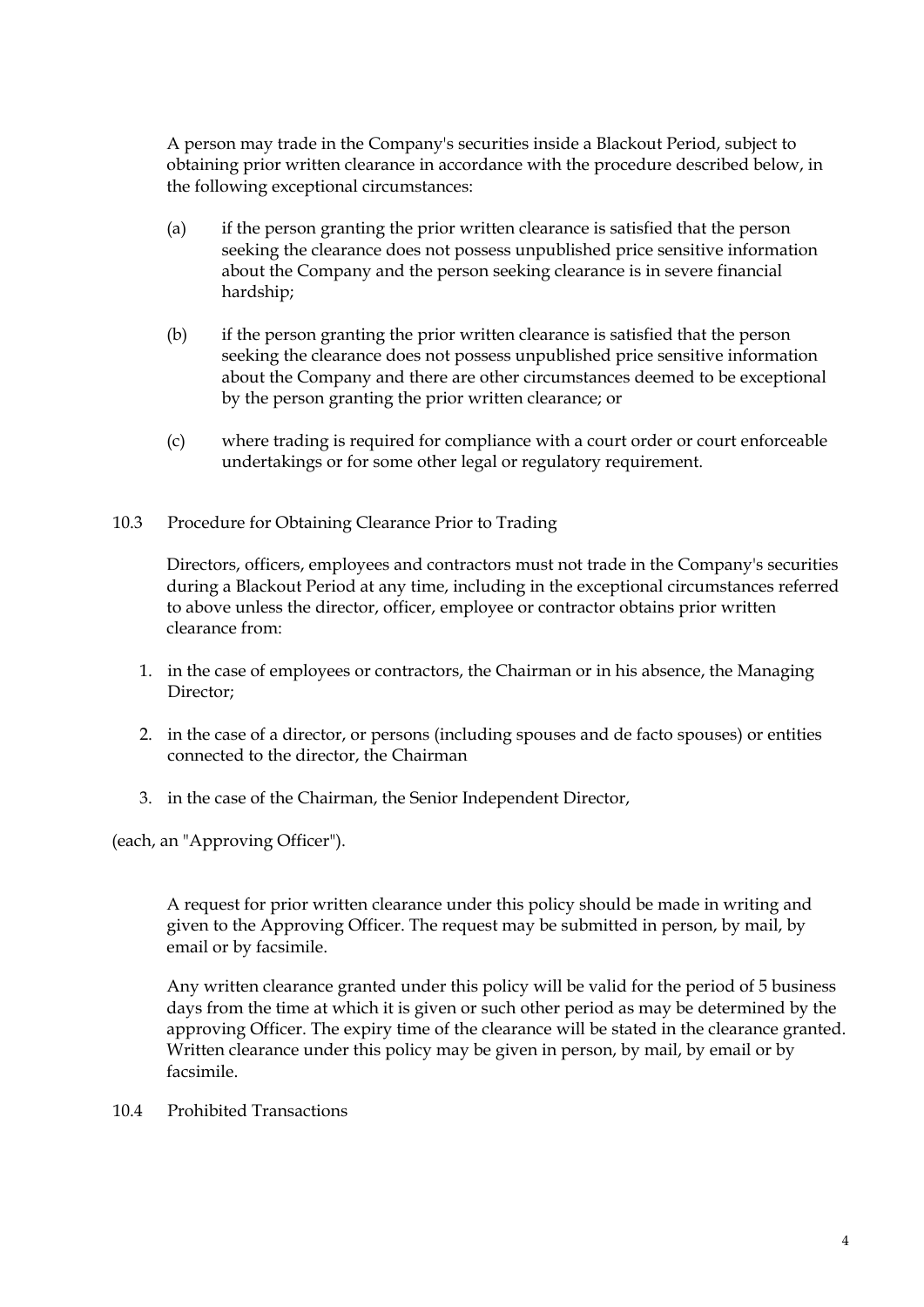A person may trade in the Company's securities inside a Blackout Period, subject to obtaining prior written clearance in accordance with the procedure described below, in the following exceptional circumstances:

- (a) if the person granting the prior written clearance is satisfied that the person seeking the clearance does not possess unpublished price sensitive information about the Company and the person seeking clearance is in severe financial hardship;
- (b) if the person granting the prior written clearance is satisfied that the person seeking the clearance does not possess unpublished price sensitive information about the Company and there are other circumstances deemed to be exceptional by the person granting the prior written clearance; or
- (c) where trading is required for compliance with a court order or court enforceable undertakings or for some other legal or regulatory requirement.
- 10.3 Procedure for Obtaining Clearance Prior to Trading

Directors, officers, employees and contractors must not trade in the Company's securities during a Blackout Period at any time, including in the exceptional circumstances referred to above unless the director, officer, employee or contractor obtains prior written clearance from:

- 1. in the case of employees or contractors, the Chairman or in his absence, the Managing Director;
- 2. in the case of a director, or persons (including spouses and de facto spouses) or entities connected to the director, the Chairman
- 3. in the case of the Chairman, the Senior Independent Director,

(each, an "Approving Officer").

A request for prior written clearance under this policy should be made in writing and given to the Approving Officer. The request may be submitted in person, by mail, by email or by facsimile.

Any written clearance granted under this policy will be valid for the period of 5 business days from the time at which it is given or such other period as may be determined by the approving Officer. The expiry time of the clearance will be stated in the clearance granted. Written clearance under this policy may be given in person, by mail, by email or by facsimile.

10.4 Prohibited Transactions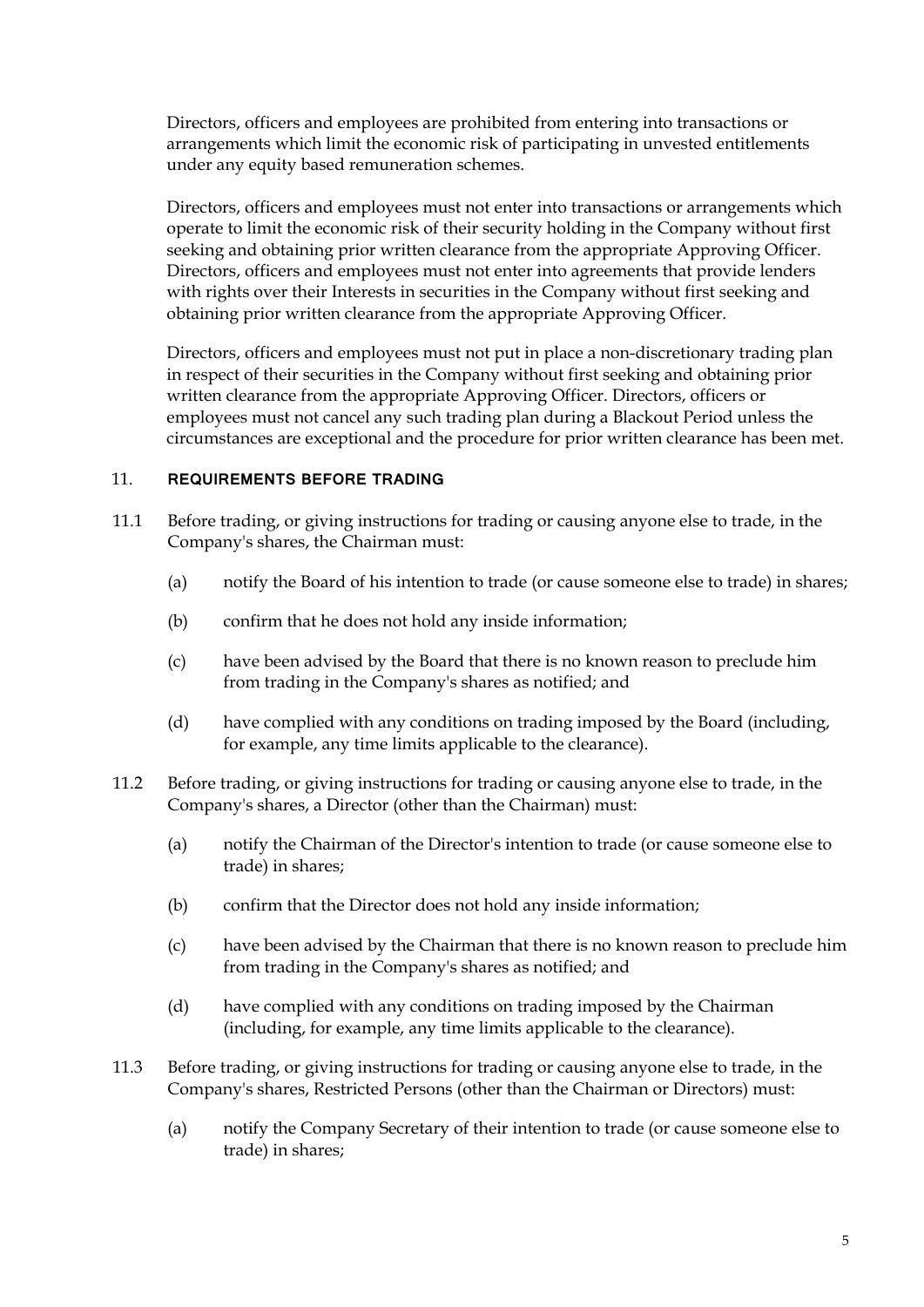Directors, officers and employees are prohibited from entering into transactions or arrangements which limit the economic risk of participating in unvested entitlements under any equity based remuneration schemes.

Directors, officers and employees must not enter into transactions or arrangements which operate to limit the economic risk of their security holding in the Company without first seeking and obtaining prior written clearance from the appropriate Approving Officer. Directors, officers and employees must not enter into agreements that provide lenders with rights over their Interests in securities in the Company without first seeking and obtaining prior written clearance from the appropriate Approving Officer.

Directors, officers and employees must not put in place a non-discretionary trading plan in respect of their securities in the Company without first seeking and obtaining prior written clearance from the appropriate Approving Officer. Directors, officers or employees must not cancel any such trading plan during a Blackout Period unless the circumstances are exceptional and the procedure for prior written clearance has been met.

#### 11. **REQUIREMENTS BEFORE TRADING**

- 11.1 Before trading, or giving instructions for trading or causing anyone else to trade, in the Company's shares, the Chairman must:
	- (a) notify the Board of his intention to trade (or cause someone else to trade) in shares;
	- (b) confirm that he does not hold any inside information;
	- (c) have been advised by the Board that there is no known reason to preclude him from trading in the Company's shares as notified; and
	- (d) have complied with any conditions on trading imposed by the Board (including, for example, any time limits applicable to the clearance).
- 11.2 Before trading, or giving instructions for trading or causing anyone else to trade, in the Company's shares, a Director (other than the Chairman) must:
	- (a) notify the Chairman of the Director's intention to trade (or cause someone else to trade) in shares;
	- (b) confirm that the Director does not hold any inside information;
	- (c) have been advised by the Chairman that there is no known reason to preclude him from trading in the Company's shares as notified; and
	- (d) have complied with any conditions on trading imposed by the Chairman (including, for example, any time limits applicable to the clearance).
- 11.3 Before trading, or giving instructions for trading or causing anyone else to trade, in the Company's shares, Restricted Persons (other than the Chairman or Directors) must:
	- (a) notify the Company Secretary of their intention to trade (or cause someone else to trade) in shares;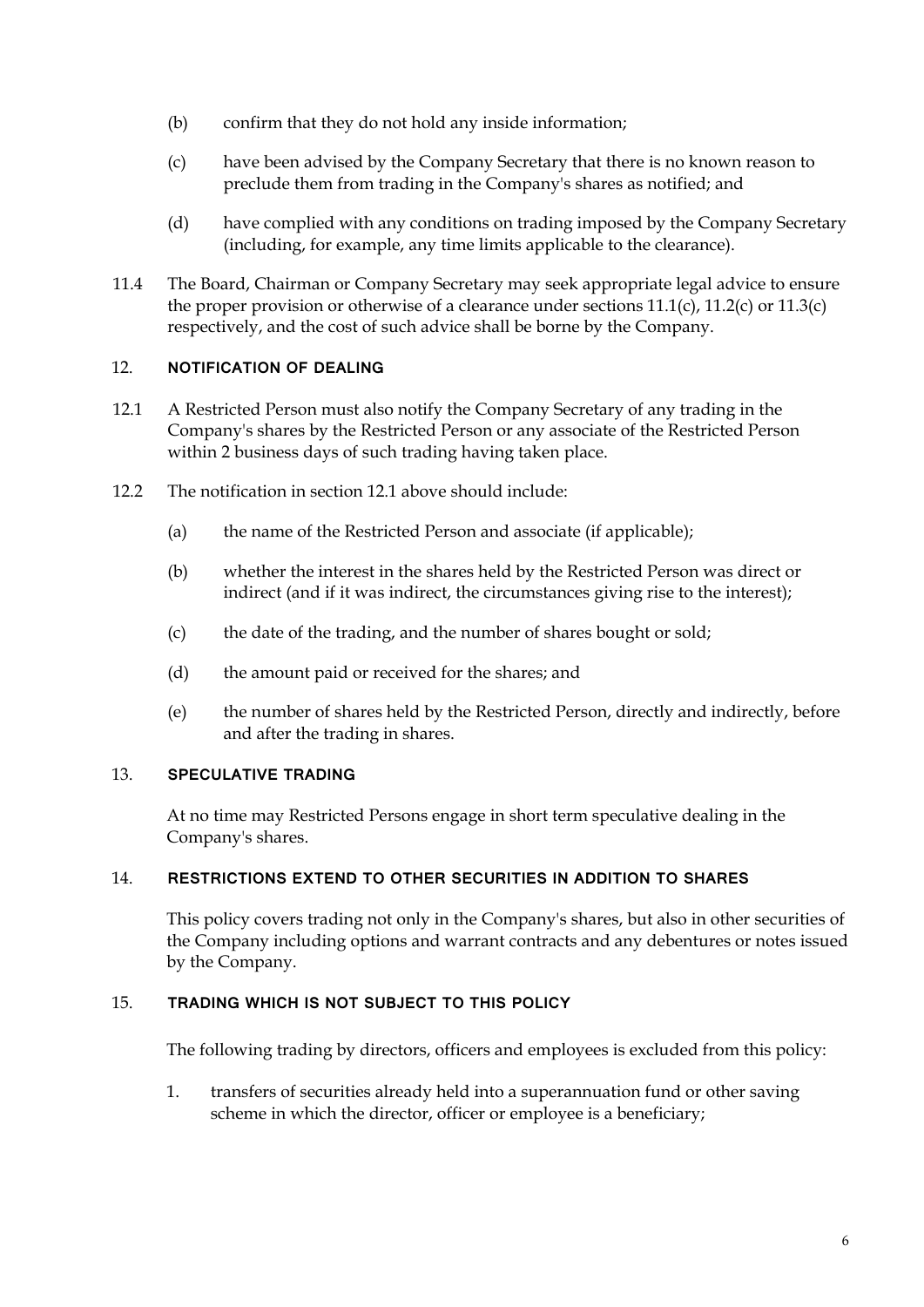- (b) confirm that they do not hold any inside information;
- (c) have been advised by the Company Secretary that there is no known reason to preclude them from trading in the Company's shares as notified; and
- (d) have complied with any conditions on trading imposed by the Company Secretary (including, for example, any time limits applicable to the clearance).
- 11.4 The Board, Chairman or Company Secretary may seek appropriate legal advice to ensure the proper provision or otherwise of a clearance under sections  $11.1(c)$ ,  $11.2(c)$  or  $11.3(c)$ respectively, and the cost of such advice shall be borne by the Company.

### 12. **NOTIFICATION OF DEALING**

- 12.1 A Restricted Person must also notify the Company Secretary of any trading in the Company's shares by the Restricted Person or any associate of the Restricted Person within 2 business days of such trading having taken place.
- 12.2 The notification in section 12.1 above should include:
	- (a) the name of the Restricted Person and associate (if applicable);
	- (b) whether the interest in the shares held by the Restricted Person was direct or indirect (and if it was indirect, the circumstances giving rise to the interest);
	- (c) the date of the trading, and the number of shares bought or sold;
	- (d) the amount paid or received for the shares; and
	- (e) the number of shares held by the Restricted Person, directly and indirectly, before and after the trading in shares.

### 13. **SPECULATIVE TRADING**

At no time may Restricted Persons engage in short term speculative dealing in the Company's shares.

#### 14. **RESTRICTIONS EXTEND TO OTHER SECURITIES IN ADDITION TO SHARES**

This policy covers trading not only in the Company's shares, but also in other securities of the Company including options and warrant contracts and any debentures or notes issued by the Company.

# 15. **TRADING WHICH IS NOT SUBJECT TO THIS POLICY**

The following trading by directors, officers and employees is excluded from this policy:

1. transfers of securities already held into a superannuation fund or other saving scheme in which the director, officer or employee is a beneficiary;